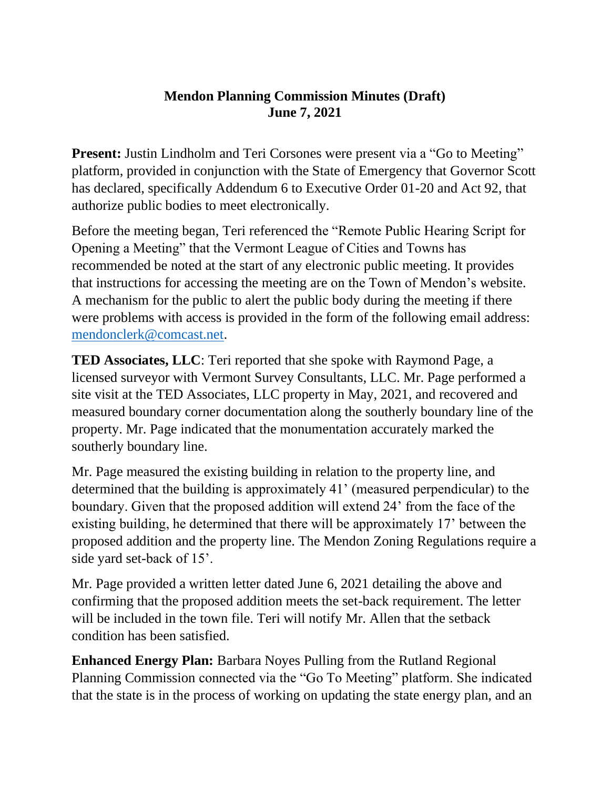## **Mendon Planning Commission Minutes (Draft) June 7, 2021**

**Present:** Justin Lindholm and Teri Corsones were present via a "Go to Meeting" platform, provided in conjunction with the State of Emergency that Governor Scott has declared, specifically Addendum 6 to Executive Order 01-20 and Act 92, that authorize public bodies to meet electronically.

Before the meeting began, Teri referenced the "Remote Public Hearing Script for Opening a Meeting" that the Vermont League of Cities and Towns has recommended be noted at the start of any electronic public meeting. It provides that instructions for accessing the meeting are on the Town of Mendon's website. A mechanism for the public to alert the public body during the meeting if there were problems with access is provided in the form of the following email address: [mendonclerk@comcast.net.](mailto:mendonclerk@comcast.net)

**TED Associates, LLC**: Teri reported that she spoke with Raymond Page, a licensed surveyor with Vermont Survey Consultants, LLC. Mr. Page performed a site visit at the TED Associates, LLC property in May, 2021, and recovered and measured boundary corner documentation along the southerly boundary line of the property. Mr. Page indicated that the monumentation accurately marked the southerly boundary line.

Mr. Page measured the existing building in relation to the property line, and determined that the building is approximately 41' (measured perpendicular) to the boundary. Given that the proposed addition will extend 24' from the face of the existing building, he determined that there will be approximately 17' between the proposed addition and the property line. The Mendon Zoning Regulations require a side yard set-back of 15'.

Mr. Page provided a written letter dated June 6, 2021 detailing the above and confirming that the proposed addition meets the set-back requirement. The letter will be included in the town file. Teri will notify Mr. Allen that the setback condition has been satisfied.

**Enhanced Energy Plan:** Barbara Noyes Pulling from the Rutland Regional Planning Commission connected via the "Go To Meeting" platform. She indicated that the state is in the process of working on updating the state energy plan, and an